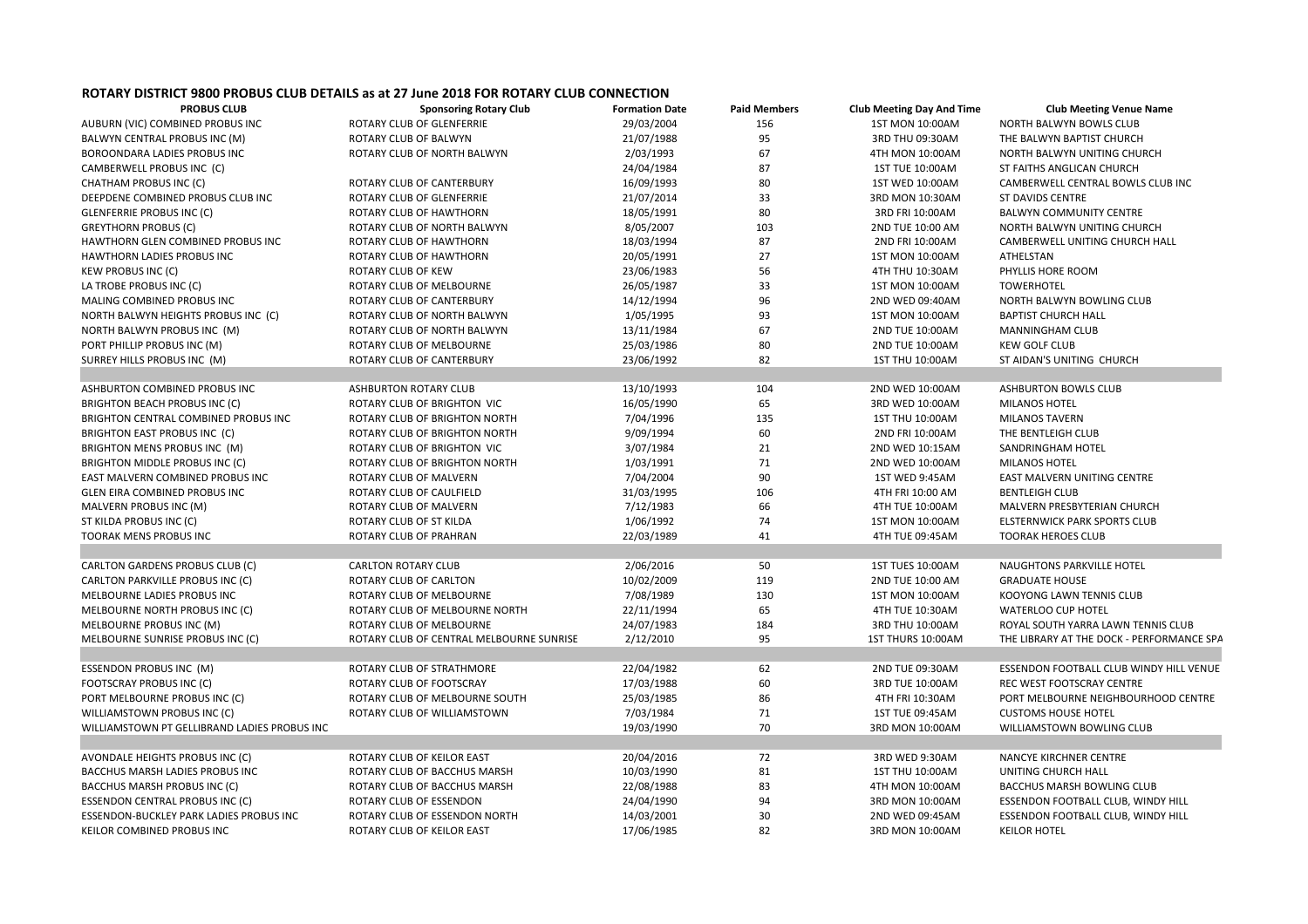## **ROTARY DISTRICT 9800 PROBUS CLUB DETAILS as at 27 June 2018 FOR ROTARY CLUB CONNECTION**

| <b>PROBUS CLUB</b>                           | <b>Sponsoring Rotary Club</b>            | <b>Formation Date</b> | <b>Paid Members</b> | <b>Club Meeting Day And Time</b> | <b>Club Meeting Venue Name</b>            |
|----------------------------------------------|------------------------------------------|-----------------------|---------------------|----------------------------------|-------------------------------------------|
| AUBURN (VIC) COMBINED PROBUS INC             | ROTARY CLUB OF GLENFERRIE                | 29/03/2004            | 156                 | 1ST MON 10:00AM                  | NORTH BALWYN BOWLS CLUB                   |
| BALWYN CENTRAL PROBUS INC (M)                | ROTARY CLUB OF BALWYN                    | 21/07/1988            | 95                  | 3RD THU 09:30AM                  | THE BALWYN BAPTIST CHURCH                 |
| BOROONDARA LADIES PROBUS INC                 | ROTARY CLUB OF NORTH BALWYN              | 2/03/1993             | 67                  | 4TH MON 10:00AM                  | NORTH BALWYN UNITING CHURCH               |
| CAMBERWELL PROBUS INC (C)                    |                                          | 24/04/1984            | 87                  | 1ST TUE 10:00AM                  | ST FAITHS ANGLICAN CHURCH                 |
| CHATHAM PROBUS INC (C)                       | ROTARY CLUB OF CANTERBURY                | 16/09/1993            | 80                  | 1ST WED 10:00AM                  | CAMBERWELL CENTRAL BOWLS CLUB INC         |
| DEEPDENE COMBINED PROBUS CLUB INC            | ROTARY CLUB OF GLENFERRIE                | 21/07/2014            | 33                  | 3RD MON 10:30AM                  | <b>ST DAVIDS CENTRE</b>                   |
| <b>GLENFERRIE PROBUS INC (C)</b>             | ROTARY CLUB OF HAWTHORN                  | 18/05/1991            | 80                  | 3RD FRI 10:00AM                  | <b>BALWYN COMMUNITY CENTRE</b>            |
| <b>GREYTHORN PROBUS (C)</b>                  | ROTARY CLUB OF NORTH BALWYN              | 8/05/2007             | 103                 | 2ND TUE 10:00 AM                 | NORTH BALWYN UNITING CHURCH               |
| HAWTHORN GLEN COMBINED PROBUS INC            | ROTARY CLUB OF HAWTHORN                  | 18/03/1994            | 87                  | 2ND FRI 10:00AM                  | CAMBERWELL UNITING CHURCH HALL            |
| <b>HAWTHORN LADIES PROBUS INC</b>            | ROTARY CLUB OF HAWTHORN                  | 20/05/1991            | 27                  | 1ST MON 10:00AM                  | <b>ATHELSTAN</b>                          |
| <b>KEW PROBUS INC (C)</b>                    | ROTARY CLUB OF KEW                       | 23/06/1983            | 56                  | 4TH THU 10:30AM                  | PHYLLIS HORE ROOM                         |
| LA TROBE PROBUS INC (C)                      | ROTARY CLUB OF MELBOURNE                 | 26/05/1987            | 33                  | 1ST MON 10:00AM                  | <b>TOWERHOTEL</b>                         |
| MALING COMBINED PROBUS INC                   | ROTARY CLUB OF CANTERBURY                | 14/12/1994            | 96                  | 2ND WED 09:40AM                  | NORTH BALWYN BOWLING CLUB                 |
| NORTH BALWYN HEIGHTS PROBUS INC (C)          | ROTARY CLUB OF NORTH BALWYN              | 1/05/1995             | 93                  | 1ST MON 10:00AM                  | <b>BAPTIST CHURCH HALL</b>                |
| NORTH BALWYN PROBUS INC (M)                  | ROTARY CLUB OF NORTH BALWYN              | 13/11/1984            | 67                  | 2ND TUE 10:00AM                  | MANNINGHAM CLUB                           |
| PORT PHILLIP PROBUS INC (M)                  | ROTARY CLUB OF MELBOURNE                 | 25/03/1986            | 80                  | 2ND TUE 10:00AM                  | <b>KEW GOLF CLUB</b>                      |
| SURREY HILLS PROBUS INC (M)                  | ROTARY CLUB OF CANTERBURY                | 23/06/1992            | 82                  | 1ST THU 10:00AM                  | ST AIDAN'S UNITING CHURCH                 |
|                                              |                                          |                       |                     |                                  |                                           |
| ASHBURTON COMBINED PROBUS INC                | <b>ASHBURTON ROTARY CLUB</b>             | 13/10/1993            | 104                 | 2ND WED 10:00AM                  | <b>ASHBURTON BOWLS CLUB</b>               |
| BRIGHTON BEACH PROBUS INC (C)                | ROTARY CLUB OF BRIGHTON VIC              | 16/05/1990            | 65                  | 3RD WED 10:00AM                  | MILANOS HOTEL                             |
| BRIGHTON CENTRAL COMBINED PROBUS INC         | ROTARY CLUB OF BRIGHTON NORTH            | 7/04/1996             | 135                 | 1ST THU 10:00AM                  | <b>MILANOS TAVERN</b>                     |
| BRIGHTON EAST PROBUS INC (C)                 | ROTARY CLUB OF BRIGHTON NORTH            | 9/09/1994             | 60                  | 2ND FRI 10:00AM                  | THE BENTLEIGH CLUB                        |
| BRIGHTON MENS PROBUS INC (M)                 | ROTARY CLUB OF BRIGHTON VIC              | 3/07/1984             | 21                  | 2ND WED 10:15AM                  | SANDRINGHAM HOTEL                         |
| BRIGHTON MIDDLE PROBUS INC (C)               | ROTARY CLUB OF BRIGHTON NORTH            | 1/03/1991             | 71                  | 2ND WED 10:00AM                  | <b>MILANOS HOTEL</b>                      |
| EAST MALVERN COMBINED PROBUS INC             | ROTARY CLUB OF MALVERN                   | 7/04/2004             | 90                  | 1ST WED 9:45AM                   | EAST MALVERN UNITING CENTRE               |
| GLEN EIRA COMBINED PROBUS INC                | ROTARY CLUB OF CAULFIELD                 | 31/03/1995            | 106                 | 4TH FRI 10:00 AM                 | <b>BENTLEIGH CLUB</b>                     |
| MALVERN PROBUS INC (M)                       | ROTARY CLUB OF MALVERN                   | 7/12/1983             | 66                  | 4TH TUE 10:00AM                  | MALVERN PRESBYTERIAN CHURCH               |
| ST KILDA PROBUS INC (C)                      | ROTARY CLUB OF ST KILDA                  | 1/06/1992             | 74                  | 1ST MON 10:00AM                  | ELSTERNWICK PARK SPORTS CLUB              |
| <b>TOORAK MENS PROBUS INC</b>                | ROTARY CLUB OF PRAHRAN                   | 22/03/1989            | 41                  | 4TH TUE 09:45AM                  | <b>TOORAK HEROES CLUB</b>                 |
|                                              |                                          |                       |                     |                                  |                                           |
| CARLTON GARDENS PROBUS CLUB (C)              | <b>CARLTON ROTARY CLUB</b>               | 2/06/2016             | 50                  | 1ST TUES 10:00AM                 | NAUGHTONS PARKVILLE HOTEL                 |
| CARLTON PARKVILLE PROBUS INC (C)             | ROTARY CLUB OF CARLTON                   | 10/02/2009            | 119                 | 2ND TUE 10:00 AM                 | <b>GRADUATE HOUSE</b>                     |
| MELBOURNE LADIES PROBUS INC                  | ROTARY CLUB OF MELBOURNE                 | 7/08/1989             | 130                 | 1ST MON 10:00AM                  | KOOYONG LAWN TENNIS CLUB                  |
| MELBOURNE NORTH PROBUS INC (C)               | ROTARY CLUB OF MELBOURNE NORTH           | 22/11/1994            | 65                  | 4TH TUE 10:30AM                  | WATERLOO CUP HOTEL                        |
| MELBOURNE PROBUS INC (M)                     | ROTARY CLUB OF MELBOURNE                 | 24/07/1983            | 184                 | 3RD THU 10:00AM                  | ROYAL SOUTH YARRA LAWN TENNIS CLUB        |
| MELBOURNE SUNRISE PROBUS INC (C)             | ROTARY CLUB OF CENTRAL MELBOURNE SUNRISE | 2/12/2010             | 95                  | 1ST THURS 10:00AM                | THE LIBRARY AT THE DOCK - PERFORMANCE SPA |
|                                              |                                          |                       |                     |                                  |                                           |
| <b>ESSENDON PROBUS INC (M)</b>               | ROTARY CLUB OF STRATHMORE                | 22/04/1982            | 62                  | 2ND TUE 09:30AM                  | ESSENDON FOOTBALL CLUB WINDY HILL VENUE   |
| FOOTSCRAY PROBUS INC (C)                     | ROTARY CLUB OF FOOTSCRAY                 | 17/03/1988            | 60                  | 3RD TUE 10:00AM                  | REC WEST FOOTSCRAY CENTRE                 |
| PORT MELBOURNE PROBUS INC (C)                | ROTARY CLUB OF MELBOURNE SOUTH           | 25/03/1985            | 86                  | 4TH FRI 10:30AM                  | PORT MELBOURNE NEIGHBOURHOOD CENTRE       |
| WILLIAMSTOWN PROBUS INC (C)                  | ROTARY CLUB OF WILLIAMSTOWN              | 7/03/1984             | 71                  | 1ST TUE 09:45AM                  | <b>CUSTOMS HOUSE HOTEL</b>                |
| WILLIAMSTOWN PT GELLIBRAND LADIES PROBUS INC |                                          | 19/03/1990            | 70                  | 3RD MON 10:00AM                  | WILLIAMSTOWN BOWLING CLUB                 |
|                                              |                                          |                       |                     |                                  |                                           |
| AVONDALE HEIGHTS PROBUS INC (C)              | ROTARY CLUB OF KEILOR EAST               | 20/04/2016            | 72                  | 3RD WED 9:30AM                   | NANCYE KIRCHNER CENTRE                    |
| BACCHUS MARSH LADIES PROBUS INC              | ROTARY CLUB OF BACCHUS MARSH             | 10/03/1990            | 81                  | 1ST THU 10:00AM                  | UNITING CHURCH HALL                       |
| BACCHUS MARSH PROBUS INC (C)                 | ROTARY CLUB OF BACCHUS MARSH             | 22/08/1988            | 83                  | 4TH MON 10:00AM                  | BACCHUS MARSH BOWLING CLUB                |
| ESSENDON CENTRAL PROBUS INC (C)              | ROTARY CLUB OF ESSENDON                  | 24/04/1990            | 94                  | 3RD MON 10:00AM                  | ESSENDON FOOTBALL CLUB, WINDY HILL        |
| ESSENDON-BUCKLEY PARK LADIES PROBUS INC      | ROTARY CLUB OF ESSENDON NORTH            | 14/03/2001            | 30                  | 2ND WED 09:45AM                  | ESSENDON FOOTBALL CLUB, WINDY HILL        |
| KEILOR COMBINED PROBUS INC                   | ROTARY CLUB OF KEILOR EAST               | 17/06/1985            | 82                  | 3RD MON 10:00AM                  | <b>KEILOR HOTEL</b>                       |
|                                              |                                          |                       |                     |                                  |                                           |